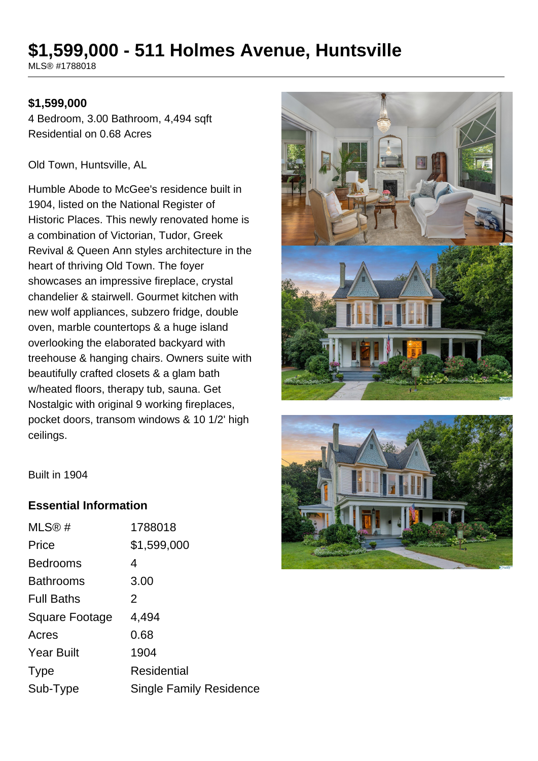# **\$1,599,000 - 511 Holmes Avenue, Huntsville**

MLS® #1788018

#### **\$1,599,000**

4 Bedroom, 3.00 Bathroom, 4,494 sqft Residential on 0.68 Acres

Old Town, Huntsville, AL

Humble Abode to McGee's residence built in 1904, listed on the National Register of Historic Places. This newly renovated home is a combination of Victorian, Tudor, Greek Revival & Queen Ann styles architecture in the heart of thriving Old Town. The foyer showcases an impressive fireplace, crystal chandelier & stairwell. Gourmet kitchen with new wolf appliances, subzero fridge, double oven, marble countertops & a huge island overlooking the elaborated backyard with treehouse & hanging chairs. Owners suite with beautifully crafted closets & a glam bath w/heated floors, therapy tub, sauna. Get Nostalgic with original 9 working fireplaces, pocket doors, transom windows & 10 1/2' high ceilings.





Built in 1904

#### **Essential Information**

| MLS®#             | 1788018                 |
|-------------------|-------------------------|
| Price             | \$1,599,000             |
| <b>Bedrooms</b>   | 4                       |
| <b>Bathrooms</b>  | 3.00                    |
| <b>Full Baths</b> | 2                       |
| Square Footage    | 4,494                   |
| Acres             | 0.68                    |
| <b>Year Built</b> | 1904                    |
| <b>Type</b>       | Residential             |
| Sub-Type          | Single Family Residence |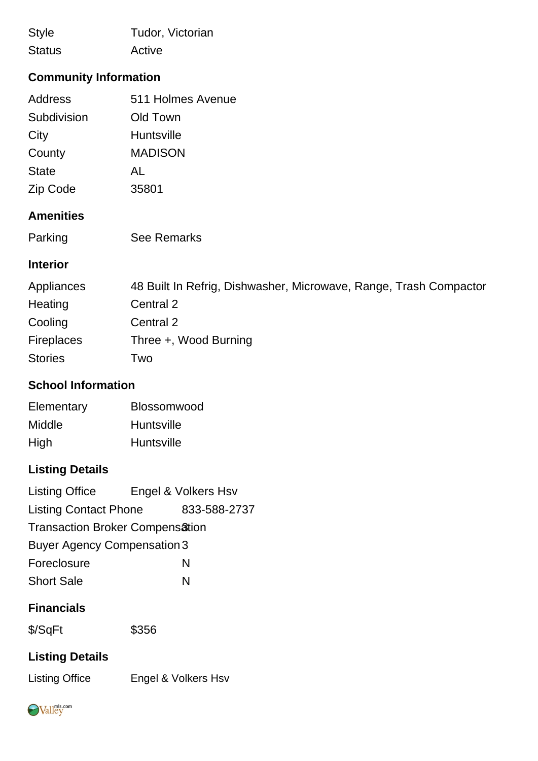Style Tudor, Victorian Status Active

## **Community Information**

| 511 Holmes Avenue |
|-------------------|
| Old Town          |
| Huntsville        |
| <b>MADISON</b>    |
| AL                |
| 35801             |
|                   |

#### **Amenities**

| Parking | See Remarks |
|---------|-------------|
|---------|-------------|

#### **Interior**

| Appliances        | 48 Built In Refrig, Dishwasher, Microwave, Range, Trash Compactor |
|-------------------|-------------------------------------------------------------------|
| Heating           | Central 2                                                         |
| Cooling           | Central 2                                                         |
| <b>Fireplaces</b> | Three +, Wood Burning                                             |
| <b>Stories</b>    | Two                                                               |

#### **School Information**

| Elementary | Blossomwood       |
|------------|-------------------|
| Middle     | <b>Huntsville</b> |
| High       | Huntsville        |

## **Listing Details**

| <b>Listing Office</b>                  | Engel & Volkers Hsv |  |
|----------------------------------------|---------------------|--|
| <b>Listing Contact Phone</b>           | 833-588-2737        |  |
| <b>Transaction Broker Compensation</b> |                     |  |
| <b>Buyer Agency Compensation 3</b>     |                     |  |
| Foreclosure                            | N                   |  |
| <b>Short Sale</b>                      | N                   |  |

#### **Financials**

| \$/SqFt | \$356 |
|---------|-------|
|         |       |

## **Listing Details**

Listing Office Engel & Volkers Hsv